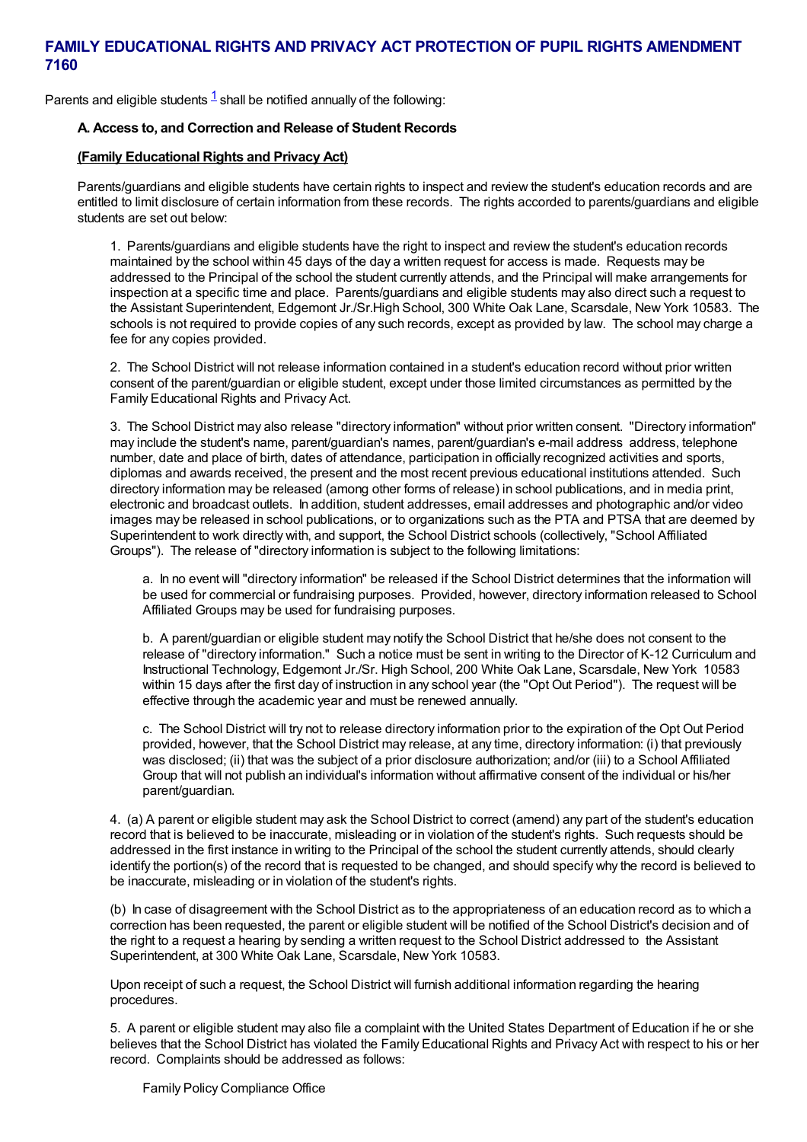Parents and eligible students  $1$  shall be notified annually of the following:

# **A. Access to, and Correction and Release of Student Records**

# **(Family Educational Rights and Privacy Act)**

Parents/guardians and eligible students have certain rights to inspect and review the student's education records and are entitled to limit disclosure of certain information from these records. The rights accorded to parents/guardians and eligible students are set out below:

1. Parents/guardians and eligible students have the right to inspect and review the student's education records maintained by the school within 45 days of the day a written request for access is made. Requests may be addressed to the Principal of the school the student currently attends, and the Principal will make arrangements for inspection at a specific time and place. Parents/guardians and eligible students may also direct such a request to the Assistant Superintendent, Edgemont Jr./Sr.High School, 300 White Oak Lane, Scarsdale, New York 10583. The schools is not required to provide copies of any such records, except as provided by law. The school may charge a fee for any copies provided.

2. The School District will not release information contained in a student's education record without prior written consent of the parent/guardian or eligible student, except under those limited circumstances as permitted by the Family Educational Rights and Privacy Act.

3. The School District may also release "directory information" without prior written consent. "Directory information" may include the student's name, parent/guardian's names, parent/guardian's e-mail address address, telephone number, date and place of birth, dates of attendance, participation in officially recognized activities and sports, diplomas and awards received, the present and the most recent previous educational institutions attended. Such directory information may be released (among other forms of release) in school publications, and in media print, electronic and broadcast outlets. In addition, student addresses, email addresses and photographic and/or video images may be released in school publications, or to organizations such as the PTA and PTSA that are deemed by Superintendent to work directly with, and support, the School District schools (collectively, "School Affiliated Groups"). The release of "directory information is subject to the following limitations:

a. In no event will "directory information" be released if the School District determines that the information will be used for commercial or fundraising purposes. Provided, however, directory information released to School Affiliated Groups may be used for fundraising purposes.

b. A parent/guardian or eligible student may notify the School District that he/she does not consent to the release of "directory information." Such a notice must be sent in writing to the Director of K-12 Curriculum and Instructional Technology, Edgemont Jr./Sr. High School, 200 White Oak Lane, Scarsdale, New York 10583 within 15 days after the first day of instruction in any school year (the "Opt Out Period"). The request will be effective through the academic year and must be renewed annually.

c. The School District will try not to release directory information prior to the expiration of the Opt Out Period provided, however, that the School District may release, at any time, directory information: (i) that previously was disclosed; (ii) that was the subject of a prior disclosure authorization; and/or (iii) to a School Affiliated Group that will not publish an individual's information without affirmative consent of the individual or his/her parent/guardian.

4. (a) A parent or eligible student may ask the School District to correct (amend) any part of the student's education record that is believed to be inaccurate, misleading or in violation of the student's rights. Such requests should be addressed in the first instance in writing to the Principal of the school the student currently attends, should clearly identify the portion(s) of the record that is requested to be changed, and should specify why the record is believed to be inaccurate, misleading or in violation of the student's rights.

(b) In case of disagreement with the School District as to the appropriateness of an education record as to which a correction has been requested, the parent or eligible student will be notified of the School District's decision and of the right to a request a hearing by sending a written request to the School District addressed to the Assistant Superintendent, at 300 White Oak Lane, Scarsdale, New York 10583.

Upon receipt of such a request, the School District will furnish additional information regarding the hearing procedures.

5. A parent or eligible student may also file a complaint with the United States Department of Education if he or she believes that the School District has violated the Family Educational Rights and Privacy Act with respect to his or her record. Complaints should be addressed as follows: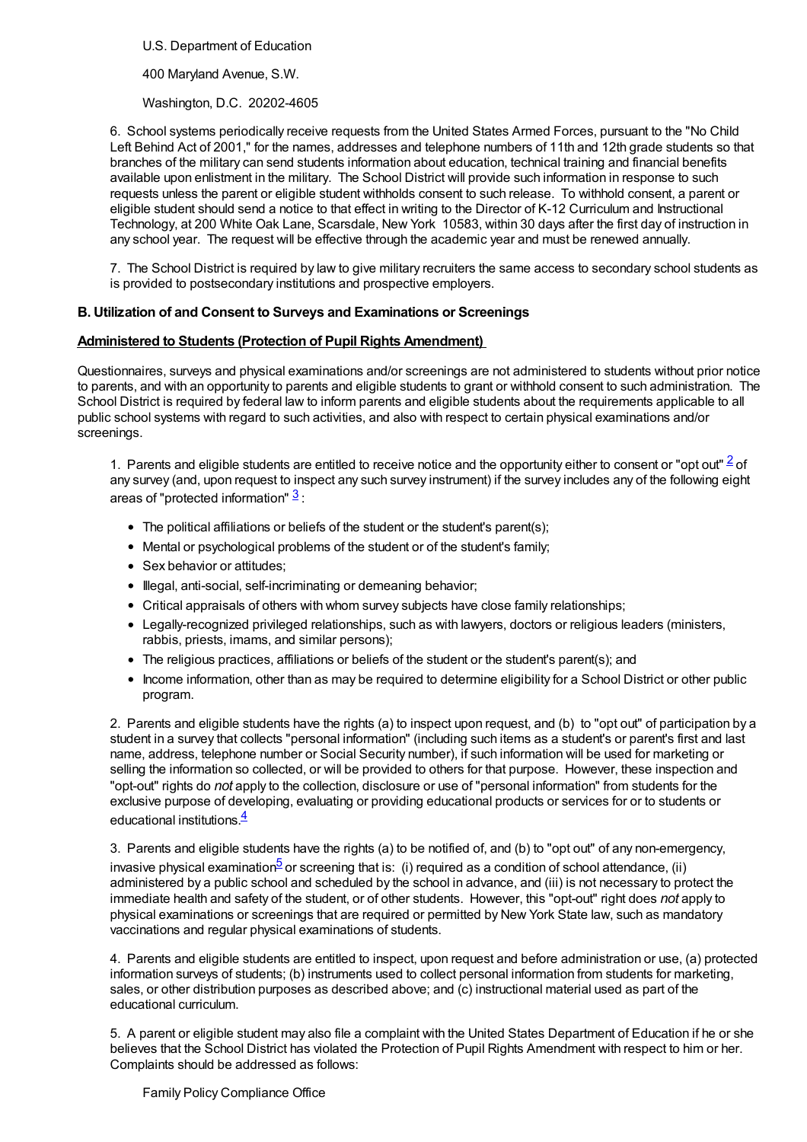U.S. Department of Education

400 Maryland Avenue, S.W.

Washington, D.C. 20202-4605

6. School systems periodically receive requests from the United States Armed Forces, pursuant to the "No Child Left Behind Act of 2001," for the names, addresses and telephone numbers of 11th and 12th grade students so that branches of the military can send students information about education, technical training and financial benefits available upon enlistment in the military. The School District will provide such information in response to such requests unless the parent or eligible student withholds consent to such release. To withhold consent, a parent or eligible student should send a notice to that effect in writing to the Director of K-12 Curriculum and Instructional Technology, at 200 White Oak Lane, Scarsdale, New York 10583, within 30 days after the first day of instruction in any school year. The request will be effective through the academic year and must be renewed annually.

7. The School District is required by law to give military recruiters the same access to secondary school students as is provided to postsecondary institutions and prospective employers.

# **B. Utilization of and Consent to Surveys and Examinations or Screenings**

### **Administered to Students (Protection of Pupil Rights Amendment)**

Questionnaires, surveys and physical examinations and/or screenings are not administered to students without prior notice to parents, and with an opportunity to parents and eligible students to grant or withhold consent to such administration. The School District is required by federal law to inform parents and eligible students about the requirements applicable to all public school systems with regard to such activities, and also with respect to certain physical examinations and/or screenings.

1. Parents and eligible students are entitled to receive notice and the opportunity either to consent or "opt out"  $\frac{2}{5}$  $\frac{2}{5}$  $\frac{2}{5}$  of any survey (and, upon request to inspect any such survey instrument) if the survey includes any of the following eight areas of "protected information"  $\frac{3}{2}$  $\frac{3}{2}$  $\frac{3}{2}$ :

- The political affiliations or beliefs of the student or the student's parent(s);
- Mental or psychological problems of the student or of the student's family;
- Sex behavior or attitudes:
- $\bullet$  Illegal, anti-social, self-incriminating or demeaning behavior;
- Critical appraisals of others with whom survey subjects have close family relationships;
- Legally-recognized privileged relationships, such as with lawyers, doctors or religious leaders (ministers, rabbis, priests, imams, and similar persons);
- The religious practices, affiliations or beliefs of the student or the student's parent(s); and
- Income information, other than as may be required to determine eligibility for a School District or other public program.

2. Parents and eligible students have the rights (a) to inspect upon request, and (b) to "opt out" of participation by a student in a survey that collects "personal information" (including such items as a student's or parent's first and last name, address, telephone number or Social Security number), if such information will be used for marketing or selling the information so collected, or will be provided to others for that purpose. However, these inspection and "opt-out" rights do *not* apply to the collection, disclosure or use of "personal information" from students for the exclusive purpose of developing, evaluating or providing educational products or services for or to students or educational institutions  $\frac{4}{5}$  $\frac{4}{5}$  $\frac{4}{5}$ 

3. Parents and eligible students have the rights (a) to be notified of, and (b) to "opt out" of any non-emergency, invasive physical examination<sup>[5](#page-2-4)</sup> or screening that is: (i) required as a condition of school attendance, (ii) administered by a public school and scheduled by the school in advance, and (iii) is not necessary to protect the immediate health and safety of the student, or of other students. However, this "opt-out" right does *not* apply to physical examinations or screenings that are required or permitted by New York State law, such as mandatory vaccinations and regular physical examinations of students.

4. Parents and eligible students are entitled to inspect, upon request and before administration or use, (a) protected information surveys of students; (b) instruments used to collect personal information from students for marketing, sales, or other distribution purposes as described above; and (c) instructional material used as part of the educational curriculum.

5. A parent or eligible student may also file a complaint with the United States Department of Education if he or she believes that the School District has violated the Protection of Pupil Rights Amendment with respect to him or her. Complaints should be addressed as follows:

Family Policy Compliance Office